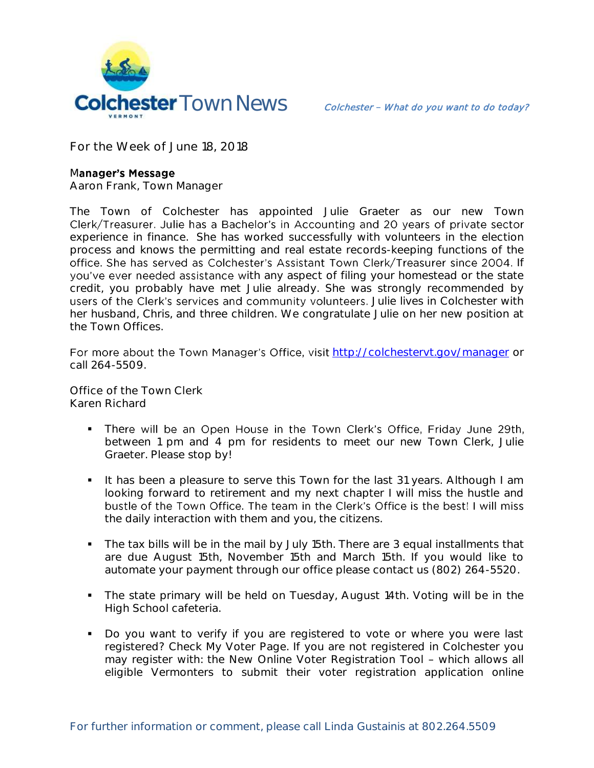

**For the Week of June 18, 2018**

## Manager's Message

**Aaron Frank, Town Manager**

The Town of Colchester has appointed Julie Graeter as our new Town Clerk/Treasurer. Julie has a Bachelor's in Accounting and 20 years of private sector experience in finance. She has worked successfully with volunteers in the election process and knows the permitting and real estate records-keeping functions of the office. She has served as Colchester's Assistant Town Clerk/Treasurer since 2004. If you've ever needed assistance with any aspect of filing your homestead or the state credit, you probably have met Julie already. She was strongly recommended by users of the Clerk's services and community volunteers. Julie lives in Colchester with her husband, Chris, and three children. We congratulate Julie on her new position at the Town Offices.

For more about the Town Manager's Office, visit http://colchesteryt.gov/manager or call 264-5509.

**Office of the Town Clerk Karen Richard**

- . There will be an Open House in the Town Clerk's Office, Friday June 29th, between 1 pm and 4 pm for residents to meet our new Town Clerk, Julie Graeter. Please stop by!
- It has been a pleasure to serve this Town for the last 31 years. Although I am looking forward to retirement and my next chapter I will miss the hustle and bustle of the Town Office. The team in the Clerk's Office is the best! I will miss the daily interaction with them and you, the citizens.
- The tax bills will be in the mail by July 15th. There are 3 equal installments that are due August 15th, November 15th and March 15th. If you would like to automate your payment through our office please contact us (802) 264-5520.
- The state primary will be held on Tuesday, August 14th. Voting will be in the High School cafeteria.
- Do you want to verify if you are registered to vote or where you were last registered? Check My Voter Page. If you are not registered in Colchester you may register with: the New Online Voter Registration Tool - which allows all eligible Vermonters to submit their voter registration application online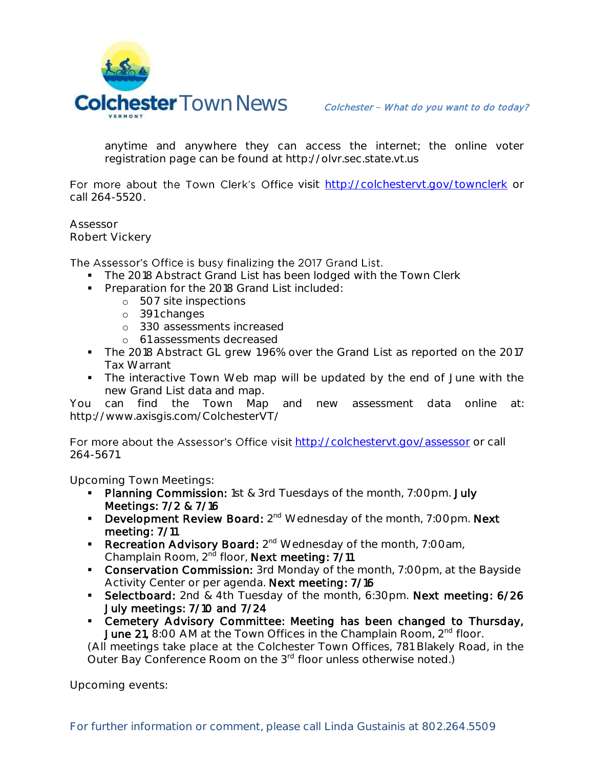

anytime and anywhere they can access the internet; the online voter registration page can be found at http://olvr.sec.state.vt.us

For more about the Town Clerk's Office visit <http://colchestervt.gov/townclerk> or call 264-5520.

**Assessor Robert Vickery**

## The Assessor's Office is busy finalizing the 2017 Grand List.

- The 2018 Abstract Grand List has been lodged with the Town Clerk
- **Preparation for the 2018 Grand List included:** 
	- o 507 site inspections
	- o 391 changes
	- o 330 assessments increased
	- o 61 assessments decreased
- The 2018 Abstract GL grew 1.96% over the Grand List as reported on the 2017 Tax Warrant
- The interactive Town Web map will be updated by the end of June with the new Grand List data and map.

You can find the Town Map and new assessment data online at: http://www.axisgis.com/ColchesterVT/

For more about the Assessor's Office visit <http://colchestervt.gov/assessor> or call 264-5671.

**Upcoming Town Meetings:** 

- **Planning Commission:** 1st & 3rd Tuesdays of the month, 7:00pm. July Meetings: 7/2 & 7/16
- **Development Review Board:**  $2^{nd}$  Wednesday of the month, 7:00pm. Next meeting: 7/11
- Recreation Advisory Board: 2<sup>nd</sup> Wednesday of the month, 7:00am, Champlain Room, 2<sup>nd</sup> floor, Next meeting: 7/11
- **Conservation Commission:** 3rd Monday of the month, 7:00pm, at the Bayside Activity Center or per agenda. Next meeting: 7/16
- **Selectboard:** 2nd & 4th Tuesday of the month, 6:30pm. Next meeting: 6/26 July meetings: 7/10 and 7/24
- Cemetery Advisory Committee: Meeting has been changed to Thursday, **June 21,** 8:00 AM at the Town Offices in the Champlain Room,  $2^{nd}$  floor.

(All meetings take place at the Colchester Town Offices, 781 Blakely Road, in the Outer Bay Conference Room on the 3<sup>rd</sup> floor unless otherwise noted.)

**Upcoming events:**